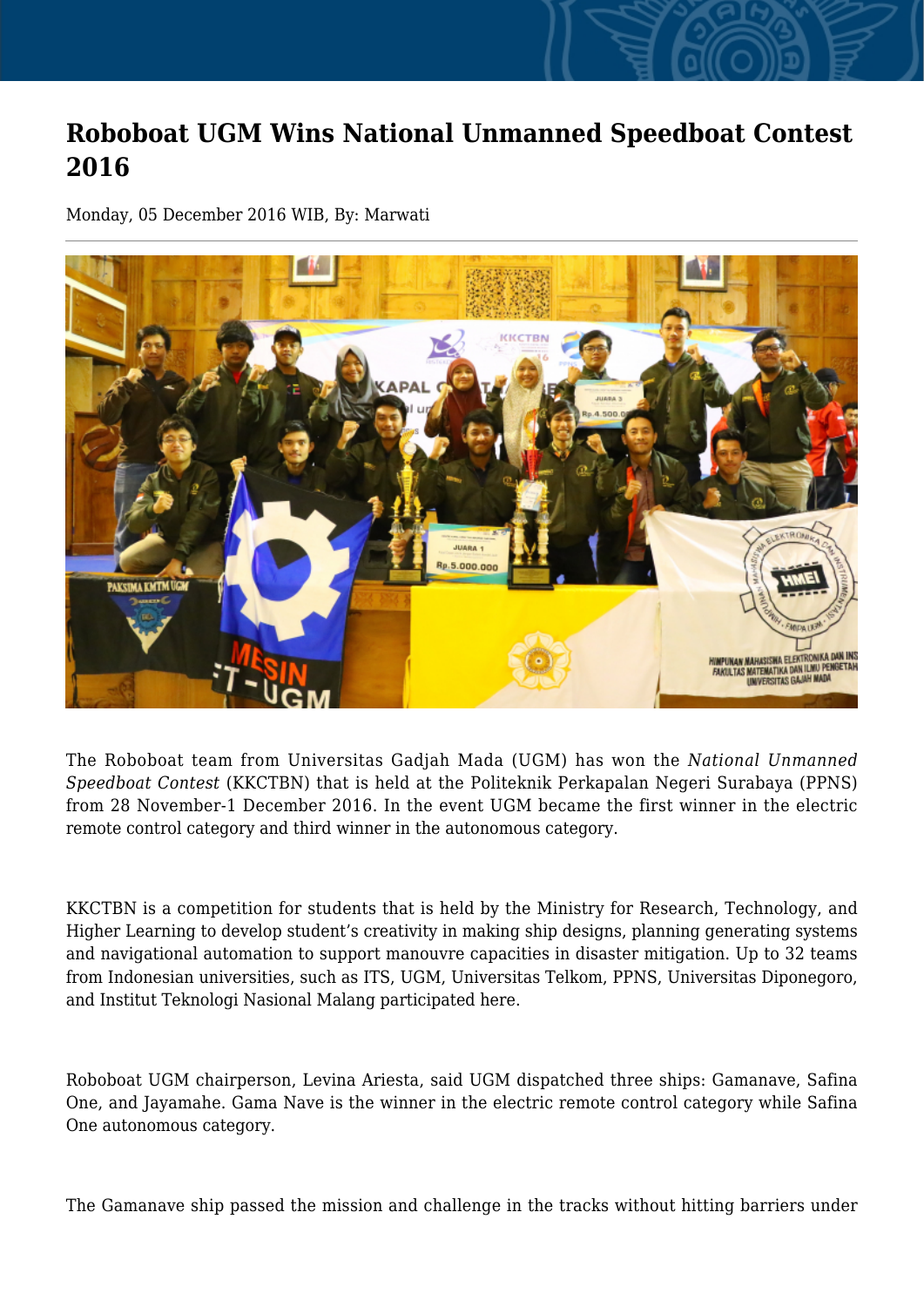## **Roboboat UGM Wins National Unmanned Speedboat Contest 2016**

Monday, 05 December 2016 WIB, By: Marwati



The Roboboat team from Universitas Gadjah Mada (UGM) has won the *National Unmanned Speedboat Contest* (KKCTBN) that is held at the Politeknik Perkapalan Negeri Surabaya (PPNS) from 28 November-1 December 2016. In the event UGM became the first winner in the electric remote control category and third winner in the autonomous category.

KKCTBN is a competition for students that is held by the Ministry for Research, Technology, and Higher Learning to develop student's creativity in making ship designs, planning generating systems and navigational automation to support manouvre capacities in disaster mitigation. Up to 32 teams from Indonesian universities, such as ITS, UGM, Universitas Telkom, PPNS, Universitas Diponegoro, and Institut Teknologi Nasional Malang participated here.

Roboboat UGM chairperson, Levina Ariesta, said UGM dispatched three ships: Gamanave, Safina One, and Jayamahe. Gama Nave is the winner in the electric remote control category while Safina One autonomous category.

The Gamanave ship passed the mission and challenge in the tracks without hitting barriers under